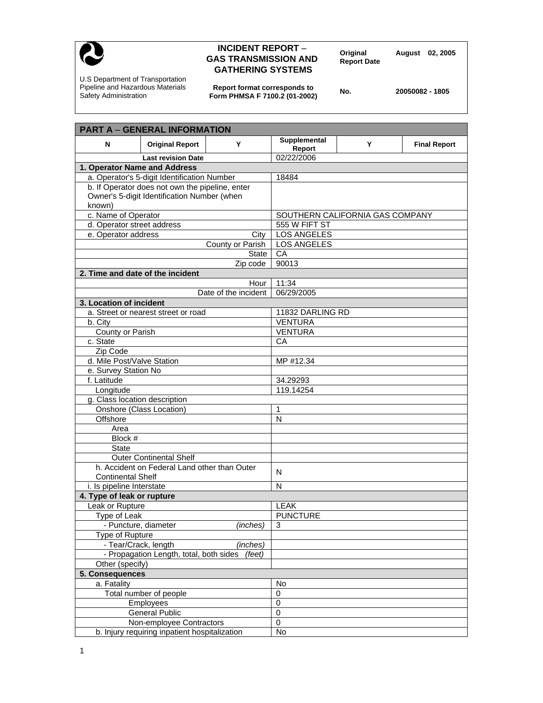

## **INCIDENT REPORT – PORT August 02, 2005**<br> **GAS TRANSMISSION AND** Report Date **GATHERING SYSTEMS**

U.S Department of Transportation Pipeline and Hazardous Materials Safety Administration

**Report format corresponds to Form PHMSA F 7100.2 (01-2002) No. 20050082 - 1805** 

| <b>PART A - GENERAL INFORMATION</b>               |                                 |   |                     |
|---------------------------------------------------|---------------------------------|---|---------------------|
| N<br><b>Original Report</b><br>Y                  | Supplemental<br>Report          | Y | <b>Final Report</b> |
| <b>Last revision Date</b>                         | 02/22/2006                      |   |                     |
| 1. Operator Name and Address                      |                                 |   |                     |
| a. Operator's 5-digit Identification Number       | 18484                           |   |                     |
| b. If Operator does not own the pipeline, enter   |                                 |   |                     |
| Owner's 5-digit Identification Number (when       |                                 |   |                     |
| known)                                            |                                 |   |                     |
| c. Name of Operator                               | SOUTHERN CALIFORNIA GAS COMPANY |   |                     |
| d. Operator street address                        | 555 W FIFT ST                   |   |                     |
| e. Operator address<br>City                       | <b>LOS ANGELES</b>              |   |                     |
| County or Parish                                  | <b>LOS ANGELES</b>              |   |                     |
| <b>State</b>                                      | CA                              |   |                     |
| Zip code                                          | 90013                           |   |                     |
| 2. Time and date of the incident                  |                                 |   |                     |
| Hour                                              | 11:34                           |   |                     |
| Date of the incident                              | 06/29/2005                      |   |                     |
| 3. Location of incident                           |                                 |   |                     |
| a. Street or nearest street or road               | 11832 DARLING RD                |   |                     |
| b. City                                           | <b>VENTURA</b>                  |   |                     |
| County or Parish                                  | <b>VENTURA</b>                  |   |                     |
| c. State                                          | CA                              |   |                     |
| Zip Code                                          |                                 |   |                     |
| d. Mile Post/Valve Station                        | MP #12.34                       |   |                     |
| e. Survey Station No                              |                                 |   |                     |
| f. Latitude                                       | 34.29293                        |   |                     |
| Longitude                                         | 119.14254                       |   |                     |
| g. Class location description                     |                                 |   |                     |
| Onshore (Class Location)                          | 1                               |   |                     |
| Offshore                                          | $\mathsf{N}$                    |   |                     |
| Area                                              |                                 |   |                     |
| Block #                                           |                                 |   |                     |
| <b>State</b>                                      |                                 |   |                     |
| <b>Outer Continental Shelf</b>                    |                                 |   |                     |
| h. Accident on Federal Land other than Outer      |                                 |   |                     |
| <b>Continental Shelf</b>                          | N                               |   |                     |
| <i>i.</i> Is pipeline Interstate                  | N                               |   |                     |
| 4. Type of leak or rupture                        |                                 |   |                     |
| Leak or Rupture                                   | <b>LEAK</b>                     |   |                     |
| Type of Leak                                      | <b>PUNCTURE</b>                 |   |                     |
| - Puncture, diameter<br>(inches)                  | $\sqrt{3}$                      |   |                     |
| Type of Rupture                                   |                                 |   |                     |
| - Tear/Crack, length<br>(inches)                  |                                 |   |                     |
| - Propagation Length, total, both sides<br>(feet) |                                 |   |                     |
| Other (specify)                                   |                                 |   |                     |
| 5. Consequences                                   |                                 |   |                     |
| a. Fatality                                       | No                              |   |                     |
| Total number of people                            | 0                               |   |                     |
| Employees                                         | $\pmb{0}$                       |   |                     |
| <b>General Public</b>                             | $\overline{0}$                  |   |                     |
| Non-employee Contractors                          | $\pmb{0}$                       |   |                     |
| b. Injury requiring inpatient hospitalization     | No                              |   |                     |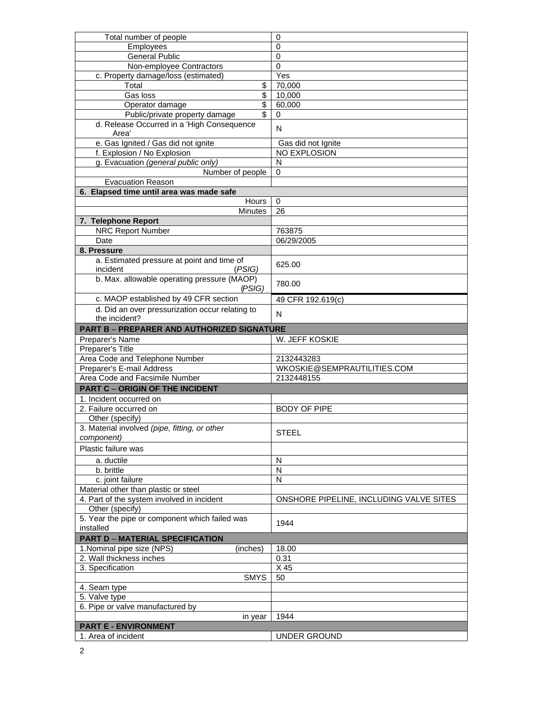| Total number of people                                             | 0                                       |
|--------------------------------------------------------------------|-----------------------------------------|
| Employees                                                          | $\mathbf 0$                             |
| <b>General Public</b>                                              | $\mathbf 0$                             |
| Non-employee Contractors                                           | 0                                       |
| c. Property damage/loss (estimated)                                | Yes                                     |
| \$<br>Total                                                        | 70,000                                  |
| \$<br>Gas loss                                                     | 10,000                                  |
| $\overline{\mathcal{S}}$<br>Operator damage                        | 60,000                                  |
| Public/private property damage<br>\$                               | 0                                       |
| d. Release Occurred in a 'High Consequence<br>Area'                | N                                       |
| e. Gas Ignited / Gas did not ignite                                | Gas did not Ignite                      |
| f. Explosion / No Explosion                                        | NO EXPLOSION                            |
| g. Evacuation (general public only)                                | N                                       |
| Number of people                                                   | 0                                       |
| <b>Evacuation Reason</b>                                           |                                         |
| 6. Elapsed time until area was made safe                           |                                         |
| Hours                                                              | $\mathbf 0$                             |
| <b>Minutes</b>                                                     | 26                                      |
| 7. Telephone Report                                                |                                         |
| <b>NRC Report Number</b>                                           | 763875                                  |
| Date                                                               | 06/29/2005                              |
| 8. Pressure                                                        |                                         |
| a. Estimated pressure at point and time of                         |                                         |
| incident<br>(PSIG)                                                 | 625.00                                  |
| b. Max. allowable operating pressure (MAOP)<br>(PSIG)              | 780.00                                  |
| c. MAOP established by 49 CFR section                              | 49 CFR 192.619(c)                       |
| d. Did an over pressurization occur relating to                    | N                                       |
| the incident?                                                      |                                         |
| <b>PART B - PREPARER AND AUTHORIZED SIGNATURE</b>                  |                                         |
| Preparer's Name                                                    | W. JEFF KOSKIE                          |
| Preparer's Title                                                   |                                         |
| Area Code and Telephone Number                                     | 2132443283                              |
| Preparer's E-mail Address                                          | WKOSKIE@SEMPRAUTILITIES.COM             |
| Area Code and Facsimile Number                                     | 2132448155                              |
| <b>PART C - ORIGIN OF THE INCIDENT</b>                             |                                         |
| 1. Incident occurred on                                            |                                         |
| 2. Failure occurred on                                             | <b>BODY OF PIPE</b>                     |
| Other (specify)                                                    |                                         |
| 3. Material involved (pipe, fitting, or other                      |                                         |
| component)                                                         | <b>STEEL</b>                            |
| Plastic failure was                                                |                                         |
| a. ductile                                                         | N                                       |
| b. brittle                                                         | N                                       |
| c. joint failure                                                   | N                                       |
| Material other than plastic or steel                               |                                         |
| 4. Part of the system involved in incident                         | ONSHORE PIPELINE, INCLUDING VALVE SITES |
| Other (specify)                                                    |                                         |
| 5. Year the pipe or component which failed was                     |                                         |
| installed                                                          | 1944                                    |
| <b>PART D - MATERIAL SPECIFICATION</b>                             |                                         |
|                                                                    |                                         |
| 1. Nominal pipe size (NPS)<br>(inches)<br>2. Wall thickness inches | 18.00<br>0.31                           |
|                                                                    |                                         |
| 3. Specification                                                   | X 45                                    |
| <b>SMYS</b>                                                        | 50                                      |
| 4. Seam type                                                       |                                         |
| 5. Valve type                                                      |                                         |
| 6. Pipe or valve manufactured by                                   |                                         |
| in year                                                            | 1944                                    |
| <b>PART E - ENVIRONMENT</b>                                        |                                         |
| 1. Area of incident                                                | UNDER GROUND                            |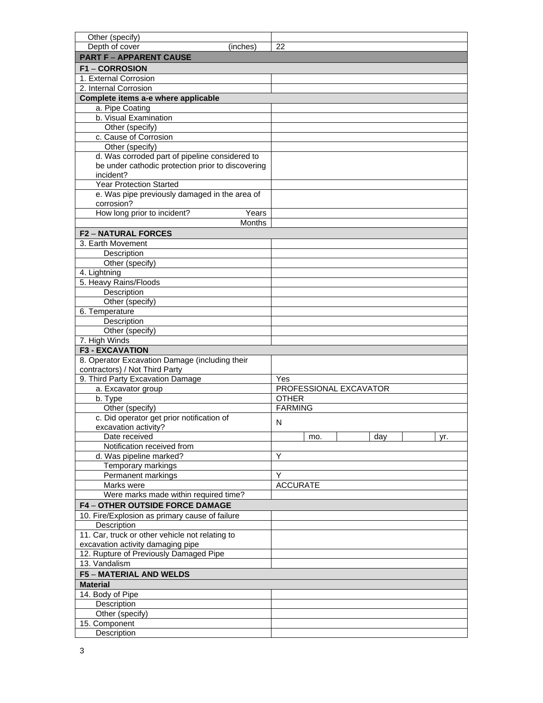| Other (specify)                                                    |                        |
|--------------------------------------------------------------------|------------------------|
| Depth of cover<br>(inches)                                         | 22                     |
| <b>PART F - APPARENT CAUSE</b>                                     |                        |
| <b>F1-CORROSION</b>                                                |                        |
| 1. External Corrosion                                              |                        |
| 2. Internal Corrosion                                              |                        |
| Complete items a-e where applicable                                |                        |
| a. Pipe Coating                                                    |                        |
| b. Visual Examination                                              |                        |
| Other (specify)                                                    |                        |
| c. Cause of Corrosion                                              |                        |
| Other (specify)                                                    |                        |
| d. Was corroded part of pipeline considered to                     |                        |
| be under cathodic protection prior to discovering                  |                        |
| incident?                                                          |                        |
| <b>Year Protection Started</b>                                     |                        |
| e. Was pipe previously damaged in the area of                      |                        |
| corrosion?                                                         |                        |
| How long prior to incident?<br>Years                               |                        |
| <b>Months</b>                                                      |                        |
| <b>F2-NATURAL FORCES</b>                                           |                        |
| 3. Earth Movement                                                  |                        |
| Description                                                        |                        |
| Other (specify)                                                    |                        |
| 4. Lightning                                                       |                        |
| 5. Heavy Rains/Floods                                              |                        |
| Description                                                        |                        |
| Other (specify)                                                    |                        |
| 6. Temperature                                                     |                        |
| Description                                                        |                        |
| Other (specify)                                                    |                        |
| 7. High Winds                                                      |                        |
| <b>F3 - EXCAVATION</b>                                             |                        |
| 8. Operator Excavation Damage (including their                     |                        |
|                                                                    |                        |
|                                                                    |                        |
| contractors) / Not Third Party<br>9. Third Party Excavation Damage | Yes                    |
| a. Excavator group                                                 | PROFESSIONAL EXCAVATOR |
| b. Type                                                            | <b>OTHER</b>           |
| Other (specify)                                                    | <b>FARMING</b>         |
| c. Did operator get prior notification of                          |                        |
| excavation activity?                                               | N                      |
| Date received                                                      | day<br>mo.<br>yr.      |
| Notification received from                                         |                        |
| d. Was pipeline marked?                                            | Y                      |
| Temporary markings                                                 |                        |
| Permanent markings                                                 | Y                      |
| Marks were                                                         | <b>ACCURATE</b>        |
| Were marks made within required time?                              |                        |
| <b>F4-OTHER OUTSIDE FORCE DAMAGE</b>                               |                        |
| 10. Fire/Explosion as primary cause of failure                     |                        |
| Description                                                        |                        |
| 11. Car, truck or other vehicle not relating to                    |                        |
| excavation activity damaging pipe                                  |                        |
| 12. Rupture of Previously Damaged Pipe                             |                        |
| 13. Vandalism                                                      |                        |
| <b>F5 - MATERIAL AND WELDS</b>                                     |                        |
| <b>Material</b>                                                    |                        |
| 14. Body of Pipe                                                   |                        |
| Description                                                        |                        |
| Other (specify)                                                    |                        |
| 15. Component                                                      |                        |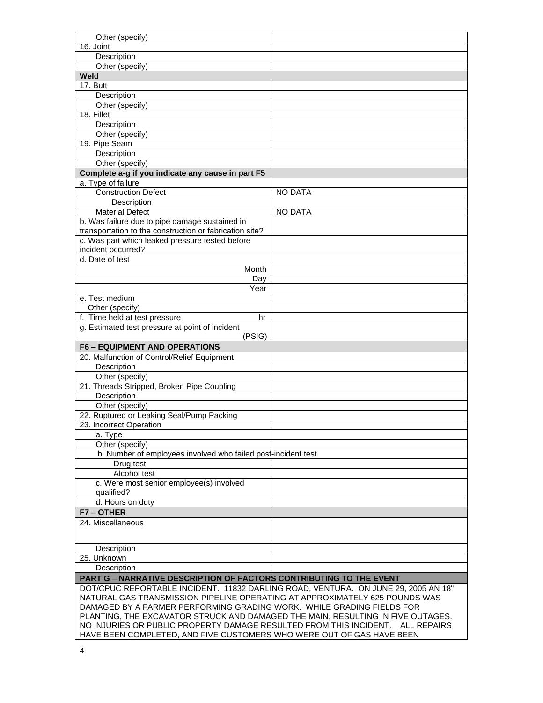| Other (specify)                                                                    |                |  |  |
|------------------------------------------------------------------------------------|----------------|--|--|
| 16. Joint                                                                          |                |  |  |
| Description                                                                        |                |  |  |
| Other (specify)                                                                    |                |  |  |
| Weld                                                                               |                |  |  |
| 17. Butt                                                                           |                |  |  |
| Description                                                                        |                |  |  |
| Other (specify)                                                                    |                |  |  |
| 18. Fillet                                                                         |                |  |  |
| Description                                                                        |                |  |  |
| Other (specify)                                                                    |                |  |  |
| 19. Pipe Seam                                                                      |                |  |  |
| Description                                                                        |                |  |  |
| Other (specify)                                                                    |                |  |  |
| Complete a-g if you indicate any cause in part F5                                  |                |  |  |
| a. Type of failure                                                                 |                |  |  |
| <b>Construction Defect</b>                                                         | <b>NO DATA</b> |  |  |
| Description                                                                        |                |  |  |
| <b>Material Defect</b>                                                             | <b>NO DATA</b> |  |  |
| b. Was failure due to pipe damage sustained in                                     |                |  |  |
| transportation to the construction or fabrication site?                            |                |  |  |
| c. Was part which leaked pressure tested before                                    |                |  |  |
| incident occurred?                                                                 |                |  |  |
| d. Date of test                                                                    |                |  |  |
| Month                                                                              |                |  |  |
| Day                                                                                |                |  |  |
| Year                                                                               |                |  |  |
| e. Test medium                                                                     |                |  |  |
| Other (specify)                                                                    |                |  |  |
| f. Time held at test pressure<br>hr                                                |                |  |  |
| g. Estimated test pressure at point of incident                                    |                |  |  |
| (PSIG)                                                                             |                |  |  |
| <b>F6 - EQUIPMENT AND OPERATIONS</b>                                               |                |  |  |
| 20. Malfunction of Control/Relief Equipment                                        |                |  |  |
| Description                                                                        |                |  |  |
| Other (specify)                                                                    |                |  |  |
| 21. Threads Stripped, Broken Pipe Coupling                                         |                |  |  |
| Description                                                                        |                |  |  |
| Other (specify)                                                                    |                |  |  |
| 22. Ruptured or Leaking Seal/Pump Packing                                          |                |  |  |
| 23. Incorrect Operation                                                            |                |  |  |
| a. Type                                                                            |                |  |  |
| Other (specify)                                                                    |                |  |  |
| b. Number of employees involved who failed post-incident test                      |                |  |  |
| Drug test                                                                          |                |  |  |
| Alcohol test                                                                       |                |  |  |
| c. Were most senior employee(s) involved                                           |                |  |  |
| qualified?                                                                         |                |  |  |
| d. Hours on duty                                                                   |                |  |  |
| F7-OTHER                                                                           |                |  |  |
| 24. Miscellaneous                                                                  |                |  |  |
|                                                                                    |                |  |  |
|                                                                                    |                |  |  |
| Description                                                                        |                |  |  |
| 25. Unknown                                                                        |                |  |  |
| Description                                                                        |                |  |  |
| <b>PART G - NARRATIVE DESCRIPTION OF FACTORS CONTRIBUTING TO THE EVENT</b>         |                |  |  |
| DOT/CPUC REPORTABLE INCIDENT. 11832 DARLING ROAD, VENTURA. ON JUNE 29, 2005 AN 18" |                |  |  |
| NATURAL GAS TRANSMISSION PIPELINE OPERATING AT APPROXIMATELY 625 POUNDS WAS        |                |  |  |
| DAMAGED BY A FARMER PERFORMING GRADING WORK. WHILE GRADING FIELDS FOR              |                |  |  |
| PLANTING, THE EXCAVATOR STRUCK AND DAMAGED THE MAIN, RESULTING IN FIVE OUTAGES.    |                |  |  |
| NO INJURIES OR PUBLIC PROPERTY DAMAGE RESULTED FROM THIS INCIDENT. ALL REPAIRS     |                |  |  |
| HAVE BEEN COMPLETED, AND FIVE CUSTOMERS WHO WERE OUT OF GAS HAVE BEEN              |                |  |  |